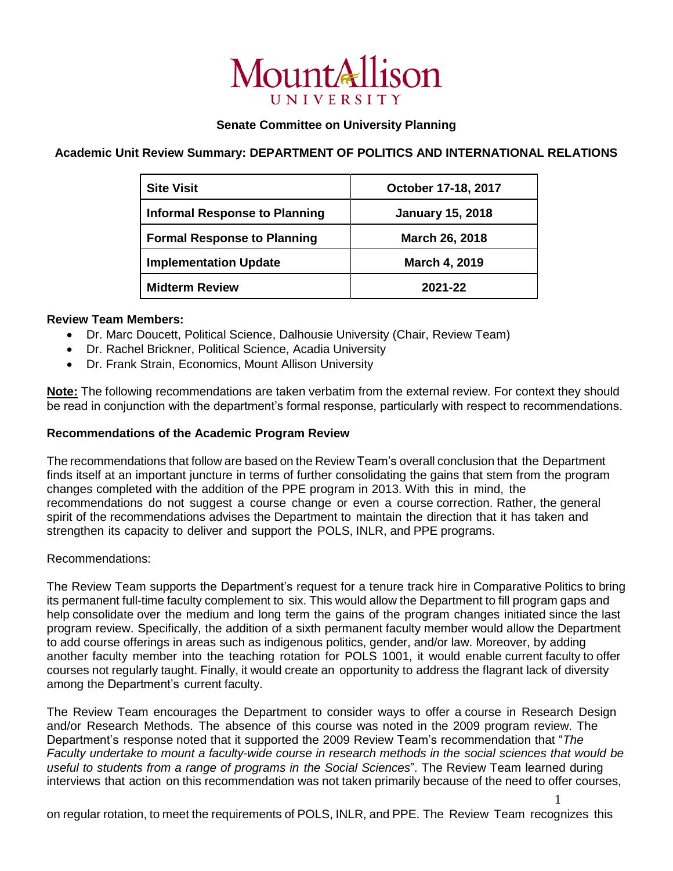

## **Senate Committee on University Planning**

# **Academic Unit Review Summary: DEPARTMENT OF POLITICS AND INTERNATIONAL RELATIONS**

| <b>Site Visit</b>                    | October 17-18, 2017     |
|--------------------------------------|-------------------------|
| <b>Informal Response to Planning</b> | <b>January 15, 2018</b> |
| <b>Formal Response to Planning</b>   | <b>March 26, 2018</b>   |
| <b>Implementation Update</b>         | <b>March 4, 2019</b>    |
| <b>Midterm Review</b>                | 2021-22                 |

### **Review Team Members:**

- Dr. Marc Doucett, Political Science, Dalhousie University (Chair, Review Team)
- Dr. Rachel Brickner, Political Science, Acadia University
- Dr. Frank Strain, Economics, Mount Allison University

**Note:** The following recommendations are taken verbatim from the external review. For context they should be read in conjunction with the department's formal response, particularly with respect to recommendations.

### **Recommendations of the Academic Program Review**

The recommendations that follow are based on the Review Team's overall conclusion that the Department finds itself at an important juncture in terms of further consolidating the gains that stem from the program changes completed with the addition of the PPE program in 2013. With this in mind, the recommendations do not suggest a course change or even a course correction. Rather, the general spirit of the recommendations advises the Department to maintain the direction that it has taken and strengthen its capacity to deliver and support the POLS, INLR, and PPE programs.

#### Recommendations:

The Review Team supports the Department's request for a tenure track hire in Comparative Politics to bring its permanent full-time faculty complement to six. This would allow the Department to fill program gaps and help consolidate over the medium and long term the gains of the program changes initiated since the last program review. Specifically, the addition of a sixth permanent faculty member would allow the Department to add course offerings in areas such as indigenous politics, gender, and/or law. Moreover, by adding another faculty member into the teaching rotation for POLS 1001, it would enable current faculty to offer courses not regularly taught. Finally, it would create an opportunity to address the flagrant lack of diversity among the Department's current faculty.

The Review Team encourages the Department to consider ways to offer a course in Research Design and/or Research Methods. The absence of this course was noted in the 2009 program review. The Department's response noted that it supported the 2009 Review Team's recommendation that "*The Faculty undertake to mount a faculty-wide course in research methods in the social sciences that would be useful to students from a range of programs in the Social Sciences*". The Review Team learned during interviews that action on this recommendation was not taken primarily because of the need to offer courses,

on regular rotation, to meet the requirements of POLS, INLR, and PPE. The Review Team recognizes this

1